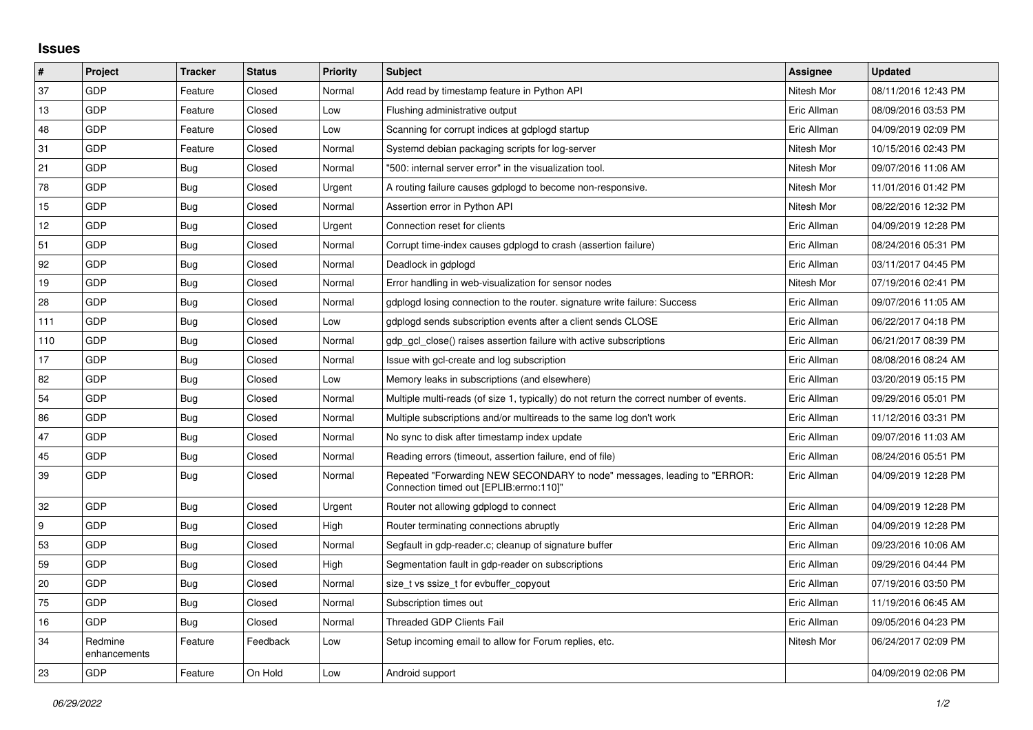## **Issues**

| #        | Project                 | <b>Tracker</b> | <b>Status</b> | <b>Priority</b> | <b>Subject</b>                                                                                                      | Assignee    | <b>Updated</b>      |
|----------|-------------------------|----------------|---------------|-----------------|---------------------------------------------------------------------------------------------------------------------|-------------|---------------------|
| 37       | GDP                     | Feature        | Closed        | Normal          | Add read by timestamp feature in Python API                                                                         | Nitesh Mor  | 08/11/2016 12:43 PM |
| 13       | GDP                     | Feature        | Closed        | Low             | Flushing administrative output                                                                                      | Eric Allman | 08/09/2016 03:53 PM |
| 48       | GDP                     | Feature        | Closed        | Low             | Scanning for corrupt indices at gdplogd startup                                                                     | Eric Allman | 04/09/2019 02:09 PM |
| 31       | GDP                     | Feature        | Closed        | Normal          | Systemd debian packaging scripts for log-server                                                                     | Nitesh Mor  | 10/15/2016 02:43 PM |
| 21       | GDP                     | <b>Bug</b>     | Closed        | Normal          | '500: internal server error" in the visualization tool.                                                             | Nitesh Mor  | 09/07/2016 11:06 AM |
| 78       | GDP                     | Bug            | Closed        | Urgent          | A routing failure causes gdplogd to become non-responsive.                                                          | Nitesh Mor  | 11/01/2016 01:42 PM |
| 15       | GDP                     | Bug            | Closed        | Normal          | Assertion error in Python API                                                                                       | Nitesh Mor  | 08/22/2016 12:32 PM |
| 12       | GDP                     | Bug            | Closed        | Urgent          | Connection reset for clients                                                                                        | Eric Allman | 04/09/2019 12:28 PM |
| 51       | GDP                     | Bug            | Closed        | Normal          | Corrupt time-index causes gdplogd to crash (assertion failure)                                                      | Eric Allman | 08/24/2016 05:31 PM |
| 92       | GDP                     | <b>Bug</b>     | Closed        | Normal          | Deadlock in gdplogd                                                                                                 | Eric Allman | 03/11/2017 04:45 PM |
| 19       | GDP                     | Bug            | Closed        | Normal          | Error handling in web-visualization for sensor nodes                                                                | Nitesh Mor  | 07/19/2016 02:41 PM |
| 28       | GDP                     | Bug            | Closed        | Normal          | gdplogd losing connection to the router, signature write failure: Success                                           | Eric Allman | 09/07/2016 11:05 AM |
| 111      | GDP                     | Bug            | Closed        | Low             | gdplogd sends subscription events after a client sends CLOSE                                                        | Eric Allman | 06/22/2017 04:18 PM |
| 110      | GDP                     | <b>Bug</b>     | Closed        | Normal          | gdp gcl close() raises assertion failure with active subscriptions                                                  | Eric Allman | 06/21/2017 08:39 PM |
| 17       | GDP                     | <b>Bug</b>     | Closed        | Normal          | Issue with gcl-create and log subscription                                                                          | Eric Allman | 08/08/2016 08:24 AM |
| 82       | <b>GDP</b>              | Bug            | Closed        | Low             | Memory leaks in subscriptions (and elsewhere)                                                                       | Eric Allman | 03/20/2019 05:15 PM |
| 54       | GDP                     | Bug            | Closed        | Normal          | Multiple multi-reads (of size 1, typically) do not return the correct number of events.                             | Eric Allman | 09/29/2016 05:01 PM |
| 86       | GDP                     | <b>Bug</b>     | Closed        | Normal          | Multiple subscriptions and/or multireads to the same log don't work                                                 | Eric Allman | 11/12/2016 03:31 PM |
| 47       | GDP                     | <b>Bug</b>     | Closed        | Normal          | No sync to disk after timestamp index update                                                                        | Eric Allman | 09/07/2016 11:03 AM |
| 45       | GDP                     | Bug            | Closed        | Normal          | Reading errors (timeout, assertion failure, end of file)                                                            | Eric Allman | 08/24/2016 05:51 PM |
| 39       | GDP                     | <b>Bug</b>     | Closed        | Normal          | Repeated "Forwarding NEW SECONDARY to node" messages, leading to "ERROR:<br>Connection timed out [EPLIB:errno:110]" | Eric Allman | 04/09/2019 12:28 PM |
| 32       | GDP                     | <b>Bug</b>     | Closed        | Urgent          | Router not allowing gdplogd to connect                                                                              | Eric Allman | 04/09/2019 12:28 PM |
| <u>g</u> | GDP                     | <b>Bug</b>     | Closed        | High            | Router terminating connections abruptly                                                                             | Eric Allman | 04/09/2019 12:28 PM |
| 53       | <b>GDP</b>              | <b>Bug</b>     | Closed        | Normal          | Segfault in gdp-reader.c; cleanup of signature buffer                                                               | Eric Allman | 09/23/2016 10:06 AM |
| 59       | GDP                     | Bug            | Closed        | High            | Segmentation fault in gdp-reader on subscriptions                                                                   | Eric Allman | 09/29/2016 04:44 PM |
| 20       | GDP                     | <b>Bug</b>     | Closed        | Normal          | size t vs ssize t for evbuffer copyout                                                                              | Eric Allman | 07/19/2016 03:50 PM |
| 75       | GDP                     | <b>Bug</b>     | Closed        | Normal          | Subscription times out                                                                                              | Eric Allman | 11/19/2016 06:45 AM |
| 16       | GDP                     | Bug            | Closed        | Normal          | Threaded GDP Clients Fail                                                                                           | Eric Allman | 09/05/2016 04:23 PM |
| 34       | Redmine<br>enhancements | Feature        | Feedback      | Low             | Setup incoming email to allow for Forum replies, etc.                                                               | Nitesh Mor  | 06/24/2017 02:09 PM |
| 23       | GDP                     | Feature        | On Hold       | Low             | Android support                                                                                                     |             | 04/09/2019 02:06 PM |